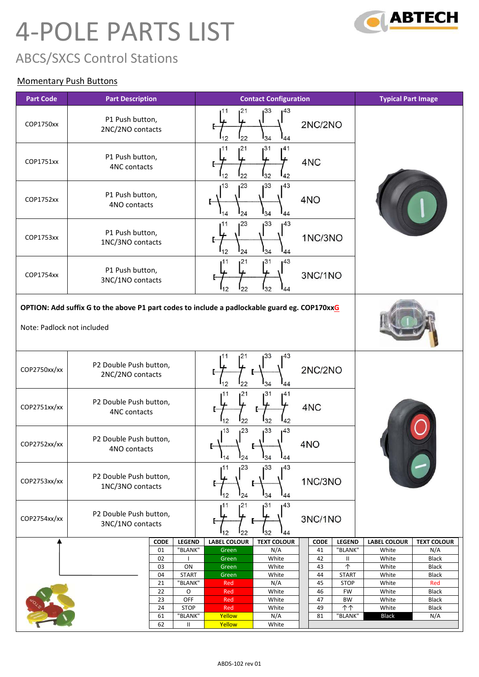# 4-POLE PARTS LIST



# ABCS/SXCS Control Stations

#### Momentary Push Buttons

| <b>Part Code</b>           | <b>Part Description</b>                                                                      | <b>Typical Part Image</b>                                   |                                               |                                                           |
|----------------------------|----------------------------------------------------------------------------------------------|-------------------------------------------------------------|-----------------------------------------------|-----------------------------------------------------------|
| COP1750xx                  | P1 Push button,<br>2NC/2NO contacts                                                          | 33<br>143<br>21<br>ı11<br>22<br>34<br>12<br>44              | 2NC/2NO                                       |                                                           |
| COP1751xx                  | P1 Push button,<br>4NC contacts                                                              | 21<br>31ء<br>141<br>32<br>22<br>42                          | 4NC                                           |                                                           |
| COP1752xx                  | P1 Push button,<br>4NO contacts                                                              | 123<br>33<br>1 <sup>43</sup><br>13<br>24<br>34<br>144<br>44 | 4NO                                           |                                                           |
| COP1753xx                  | P1 Push button,<br>1NC/3NO contacts                                                          | 33<br>143<br>23<br>134<br>12<br>24<br>44                    | 1NC/3NO                                       |                                                           |
| COP1754xx                  | P1 Push button,<br>3NC/1NO contacts                                                          | 31<br>143<br>ı21<br>I32<br>22<br>44                         | 3NC/1NO                                       |                                                           |
|                            | OPTION: Add suffix G to the above P1 part codes to include a padlockable guard eg. COP170xxG |                                                             |                                               |                                                           |
| Note: Padlock not included |                                                                                              |                                                             |                                               |                                                           |
| COP2750xx/xx               | P2 Double Push button,<br>2NC/2NO contacts                                                   | 33<br>43ء<br>21<br>34<br>44                                 | 2NC/2NO                                       |                                                           |
| COP2751xx/xx               | P2 Double Push button,<br><b>4NC contacts</b>                                                | 31<br>41<br>21<br>22<br>32<br>42                            | 4NC                                           |                                                           |
| COP2752xx/xx               | P2 Double Push button,<br>4NO contacts                                                       | 123<br>33<br>13<br>143<br>$I_{14}$<br>134<br>$I_{24}$<br>44 | 4NO                                           |                                                           |
| COP2753xx/xx               | P2 Double Push button,<br>1NC/3NO contacts                                                   | 33<br>123<br>43ء<br>11،<br>112<br>$I_{34}$<br>44<br>124     | 1NC/3NO                                       |                                                           |
| COP2754xx/xx               | P2 Double Push button,<br>3NC/1NO contacts                                                   | 143<br>31<br>21<br>11،<br>132<br>112<br>'22<br>144          | 3NC/1NO                                       |                                                           |
|                            | <b>LEGEND</b><br><b>CODE</b><br>01<br>"BLANK"                                                | <b>LABEL COLOUR</b><br><b>TEXT COLOUR</b><br>N/A<br>Green   | <b>LEGEND</b><br><b>CODE</b><br>"BLANK"<br>41 | <b>LABEL COLOUR</b><br><b>TEXT COLOUR</b><br>White<br>N/A |
|                            | 02                                                                                           | Green<br>White                                              | 42<br>Ш                                       | White<br><b>Black</b>                                     |
|                            | ON<br>03<br>04<br><b>START</b>                                                               | White<br>Green<br>Green<br>White                            | $\uparrow$<br>43<br>44<br><b>START</b>        | White<br><b>Black</b><br>White<br>Black                   |
|                            | "BLANK"<br>21                                                                                | N/A<br>Red                                                  | 45<br><b>STOP</b>                             | White<br>Red                                              |
|                            | 22<br>O                                                                                      | White<br>Red                                                | 46<br>FW                                      | White<br><b>Black</b>                                     |
|                            | OFF<br>23<br>24<br><b>STOP</b>                                                               | White<br>Red<br>White<br>Red                                | 47<br><b>BW</b><br>49<br>个个                   | White<br><b>Black</b><br>White<br>Black                   |
|                            | 61<br>"BLANK"                                                                                | Yellow<br>N/A                                               | "BLANK"<br>81                                 | N/A<br><b>Black</b>                                       |
|                            | 62<br>Ш                                                                                      | Yellow<br>White                                             |                                               |                                                           |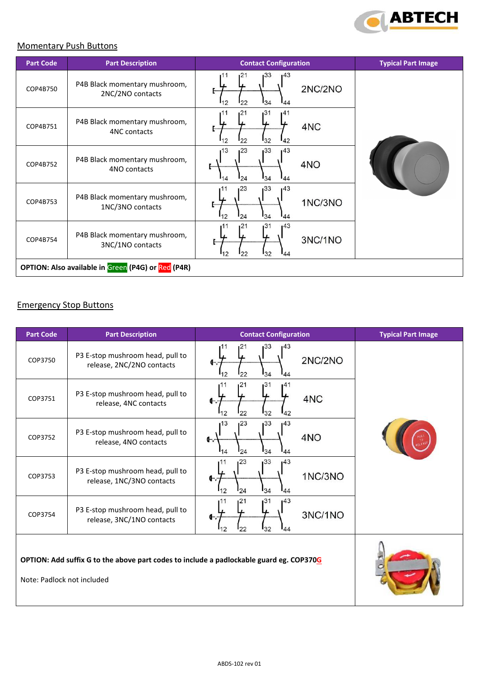

#### Momentary Push Buttons

| <b>Part Code</b>                                   | <b>Part Description</b>                           | <b>Contact Configuration</b>                                                                        | <b>Typical Part Image</b> |  |  |
|----------------------------------------------------|---------------------------------------------------|-----------------------------------------------------------------------------------------------------|---------------------------|--|--|
| COP4B750                                           | P4B Black momentary mushroom,<br>2NC/2NO contacts | 133<br>143<br>121<br>2NC/2NO<br>$I_{34}$<br>112<br>122<br>144                                       |                           |  |  |
| COP4B751                                           | P4B Black momentary mushroom,<br>4NC contacts     | 131<br>1 <sup>21</sup><br>141<br>4NC<br>$I_{32}$<br>12<br>142<br>$I_{22}$                           |                           |  |  |
| COP4B752                                           | P4B Black momentary mushroom,<br>4NO contacts     | 133<br>13<br>123<br>1 <sup>43</sup><br>4NO<br>$I_{34}$<br><sup>24</sup><br>$\mathsf{I}_{44}$<br>114 |                           |  |  |
| COP4B753                                           | P4B Black momentary mushroom,<br>1NC/3NO contacts | 33<br>123<br>143<br>1NC/3NO<br>34<br>$I_{12}$<br>$I_{24}$<br>44                                     |                           |  |  |
| COP4B754                                           | P4B Black momentary mushroom,<br>3NC/1NO contacts | 1 <sup>31</sup><br>143<br>121<br>3NC/1NO<br>132<br>$I_{12}$<br>$I_{22}$<br>144                      |                           |  |  |
| OPTION: Also available in Green (P4G) or Red (P4R) |                                                   |                                                                                                     |                           |  |  |

#### Emergency Stop Buttons

| <b>Part Code</b>                                                                                                      | <b>Part Description</b>                                       | <b>Contact Configuration</b>                                     | <b>Typical Part Image</b> |
|-----------------------------------------------------------------------------------------------------------------------|---------------------------------------------------------------|------------------------------------------------------------------|---------------------------|
| COP3750                                                                                                               | P3 E-stop mushroom head, pull to<br>release, 2NC/2NO contacts | 133<br>143<br>21ء<br>2NC/2NO<br>$I_{34}$<br>22<br>$\frac{1}{44}$ |                           |
| COP3751                                                                                                               | P3 E-stop mushroom head, pull to<br>release, 4NC contacts     | 1 <sup>31</sup><br>121<br>141<br>4NC<br>132<br>22<br>42          |                           |
| COP3752                                                                                                               | P3 E-stop mushroom head, pull to<br>release, 4NO contacts     | 133<br>143<br>13<br>123<br>4NO<br>$I_{34}$<br>24<br>14<br>144    |                           |
| COP3753                                                                                                               | P3 E-stop mushroom head, pull to<br>release, 1NC/3NO contacts | 133<br>23<br>143<br>1NC/3NO<br>$I_{34}$<br>12<br>24<br>144       |                           |
| COP3754                                                                                                               | P3 E-stop mushroom head, pull to<br>release, 3NC/1NO contacts | 143<br>131<br>21ء<br>3NC/1NO<br>132<br>22<br>12<br>44            |                           |
| OPTION: Add suffix G to the above part codes to include a padlockable guard eg. COP370G<br>Note: Padlock not included |                                                               |                                                                  |                           |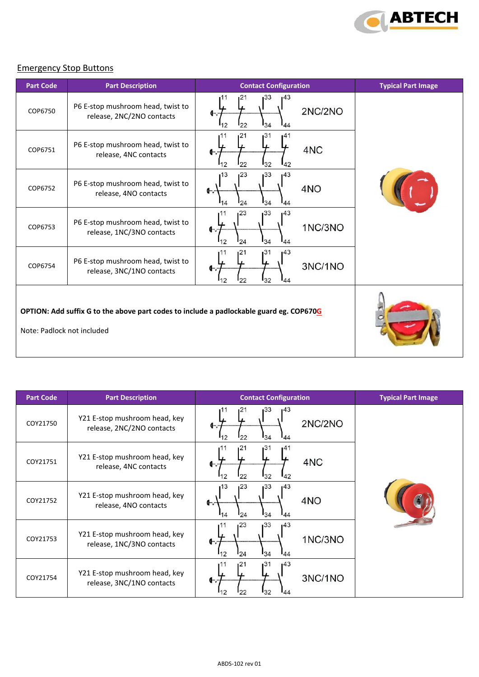

#### Emergency Stop Buttons

| <b>Part Code</b>                                                                                                      | <b>Part Description</b>                                        | <b>Contact Configuration</b>                                         | <b>Typical Part Image</b> |
|-----------------------------------------------------------------------------------------------------------------------|----------------------------------------------------------------|----------------------------------------------------------------------|---------------------------|
| COP6750                                                                                                               | P6 E-stop mushroom head, twist to<br>release, 2NC/2NO contacts | 33<br>143<br>21<br>2NC/2NO<br>$I_{34}$<br>22<br>44<br>$\overline{2}$ |                           |
| COP6751                                                                                                               | P6 E-stop mushroom head, twist to<br>release, 4NC contacts     | 1 <sup>31</sup><br>11<br>121<br>141<br>4NC<br>32<br>22<br>42         |                           |
| COP6752                                                                                                               | P6 E-stop mushroom head, twist to<br>release, 4NO contacts     | 1 <sup>33</sup><br>123<br>143<br>13<br>4NO<br>134<br>24<br>44<br>14  |                           |
| COP6753                                                                                                               | P6 E-stop mushroom head, twist to<br>release, 1NC/3NO contacts | 123<br>133<br>143<br>11،<br>1NC/3NO<br>$I_{34}$<br>112<br>24<br>44   |                           |
| COP6754                                                                                                               | P6 E-stop mushroom head, twist to<br>release, 3NC/1NO contacts | 31<br>143<br>121<br>3NC/1NO<br>132<br>22<br>44<br>$\overline{2}$     |                           |
| OPTION: Add suffix G to the above part codes to include a padlockable guard eg. COP670G<br>Note: Padlock not included |                                                                |                                                                      |                           |

| <b>Part Code</b> | <b>Part Description</b>                                    | <b>Contact Configuration</b>                                    | <b>Typical Part Image</b> |
|------------------|------------------------------------------------------------|-----------------------------------------------------------------|---------------------------|
| COY21750         | Y21 E-stop mushroom head, key<br>release, 2NC/2NO contacts | 33ء<br>143<br>2NC/2NO<br>134<br>22<br>144<br>$\mathcal{P}$      |                           |
| COY21751         | Y21 E-stop mushroom head, key<br>release, 4NC contacts     | 131<br>121<br>141<br>4NC<br>$I_{32}$<br>22<br>142<br>12         |                           |
| COY21752         | Y21 E-stop mushroom head, key<br>release, 4NO contacts     | 133<br>123<br>143<br>13<br>4NO<br>⊕<br>34<br>24<br>44<br>14     |                           |
| COY21753         | Y21 E-stop mushroom head, key<br>release, 1NC/3NO contacts | 123<br>133<br>143<br>11<br>1NC/3NO<br>œ<br>34<br>24<br>44<br>12 |                           |
| COY21754         | Y21 E-stop mushroom head, key<br>release, 3NC/1NO contacts | 31<br>143<br>121<br>3NC/1NO<br>G-.<br>32<br>144                 |                           |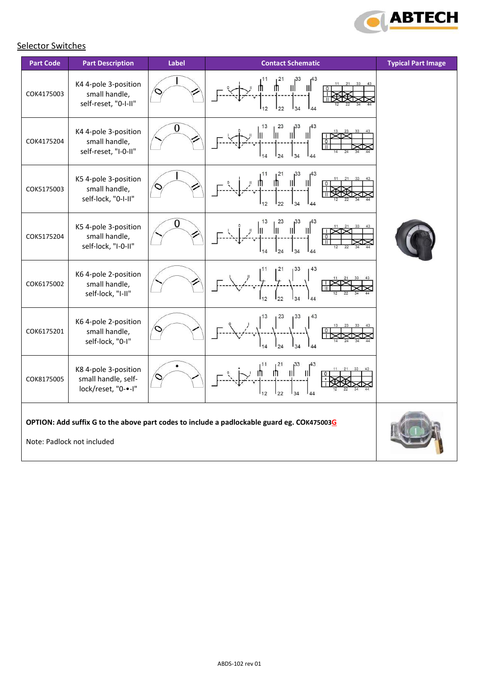

# **Selector Switches**

| <b>Part Code</b>                                                                                                         | <b>Part Description</b>                                            | <b>Label</b> | <b>Contact Schematic</b>                                  | <b>Typical Part Image</b> |
|--------------------------------------------------------------------------------------------------------------------------|--------------------------------------------------------------------|--------------|-----------------------------------------------------------|---------------------------|
| COK4175003                                                                                                               | K4 4-pole 3-position<br>small handle,<br>self-reset, "0-I-II"      |              | 12                                                        |                           |
| COK4175204                                                                                                               | K4 4-pole 3-position<br>small handle,<br>self-reset, "I-0-II"      | 0            | 13<br>23<br>$\mathbf{H}$<br>Ш<br>$\mathbb{I}$<br>24<br>44 |                           |
| COK5175003                                                                                                               | K5 4-pole 3-position<br>small handle,<br>self-lock, "0-I-II"       |              | Ш<br>$\frac{1}{44}$<br>12<br>22                           |                           |
| COK5175204                                                                                                               | K5 4-pole 3-position<br>small handle,<br>self-lock, "I-0-II"       | 0            | III<br>$\mathbb{I}$                                       |                           |
| COK6175002                                                                                                               | K6 4-pole 2-position<br>small handle,<br>self-lock, "I-II"         |              | 43                                                        |                           |
| COK6175201                                                                                                               | K6 4-pole 2-position<br>small handle,<br>self-lock, "0-I"          |              |                                                           |                           |
| COK8175005                                                                                                               | K8 4-pole 3-position<br>small handle, self-<br>lock/reset, "0-•-I" |              | II                                                        |                           |
| OPTION: Add suffix G to the above part codes to include a padlockable guard eg. COK475003G<br>Note: Padlock not included |                                                                    |              |                                                           |                           |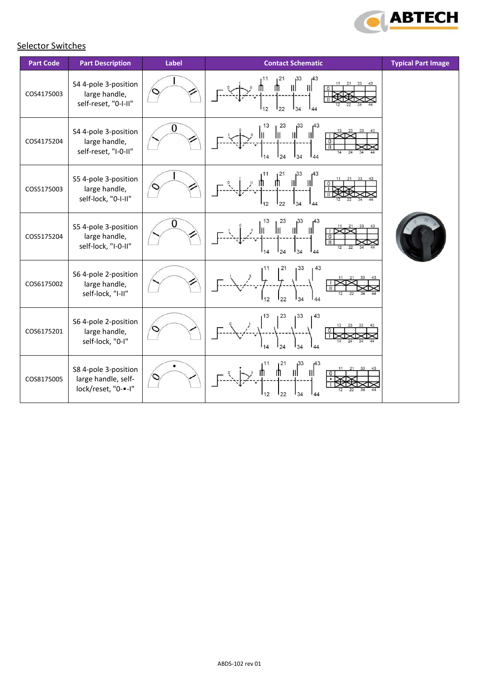

# **Selector Switches**

| <b>Part Code</b> | <b>Part Description</b>                                            | Label | <b>Contact Schematic</b>                                                   | <b>Typical Part Image</b> |
|------------------|--------------------------------------------------------------------|-------|----------------------------------------------------------------------------|---------------------------|
| COS4175003       | S4 4-pole 3-position<br>large handle,<br>self-reset, "0-I-II"      |       | Ш<br>112<br>22<br>144                                                      |                           |
| COS4175204       | S4 4-pole 3-position<br>large handle,<br>self-reset, "I-0-II"      | 0     | 13<br>$\left \right ^{43}$<br>$\left\  \right\ ^{33}$<br>Ш<br>Ш<br>$\circ$ |                           |
| COS5175003       | S5 4-pole 3-position<br>large handle,<br>self-lock, "0-I-II"       |       | 11<br>1 <sup>21</sup><br>$\mathbf{H}$<br>IJ.<br>Ш<br>144                   |                           |
| COS5175204       | S5 4-pole 3-position<br>large handle,<br>self-lock, "I-0-II"       | 0     | 13<br>23<br>$\mathbf{u}$<br>$\mathbb{I}$<br>34<br>24                       |                           |
| COS6175002       | S6 4-pole 2-position<br>large handle,<br>self-lock, "I-II"         |       | 43<br>1 <sup>33</sup><br>22<br>34<br>44<br>12                              |                           |
| COS6175201       | S6 4-pole 2-position<br>large handle,<br>self-lock, "0-I"          |       | 13<br>123<br>133<br>43<br>24<br>34<br>144<br>14                            |                           |
| COS8175005       | S8 4-pole 3-position<br>large handle, self-<br>lock/reset, "0-•-I" |       | 11<br>1 <sup>21</sup><br>143<br>Ш<br>22<br>34<br>144<br>12                 |                           |